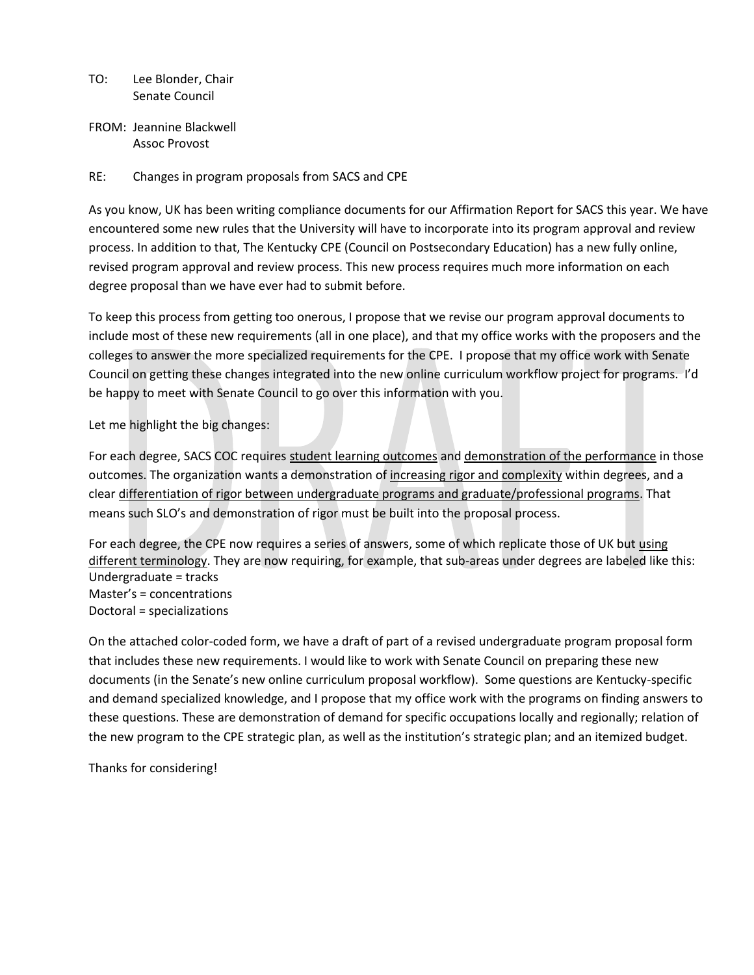- TO: Lee Blonder, Chair Senate Council
- FROM: Jeannine Blackwell Assoc Provost

## RE: Changes in program proposals from SACS and CPE

As you know, UK has been writing compliance documents for our Affirmation Report for SACS this year. We have encountered some new rules that the University will have to incorporate into its program approval and review process. In addition to that, The Kentucky CPE (Council on Postsecondary Education) has a new fully online, revised program approval and review process. This new process requires much more information on each degree proposal than we have ever had to submit before.

To keep this process from getting too onerous, I propose that we revise our program approval documents to include most of these new requirements (all in one place), and that my office works with the proposers and the colleges to answer the more specialized requirements for the CPE. I propose that my office work with Senate Council on getting these changes integrated into the new online curriculum workflow project for programs. I'd be happy to meet with Senate Council to go over this information with you.

### Let me highlight the big changes:

For each degree, SACS COC requires student learning outcomes and demonstration of the performance in those outcomes. The organization wants a demonstration of increasing rigor and complexity within degrees, and a clear differentiation of rigor between undergraduate programs and graduate/professional programs. That means such SLO's and demonstration of rigor must be built into the proposal process.

For each degree, the CPE now requires a series of answers, some of which replicate those of UK but using different terminology. They are now requiring, for example, that sub-areas under degrees are labeled like this: Undergraduate = tracks Master's = concentrations Doctoral = specializations

On the attached color-coded form, we have a draft of part of a revised undergraduate program proposal form that includes these new requirements. I would like to work with Senate Council on preparing these new documents (in the Senate's new online curriculum proposal workflow). Some questions are Kentucky-specific and demand specialized knowledge, and I propose that my office work with the programs on finding answers to these questions. These are demonstration of demand for specific occupations locally and regionally; relation of the new program to the CPE strategic plan, as well as the institution's strategic plan; and an itemized budget.

Thanks for considering!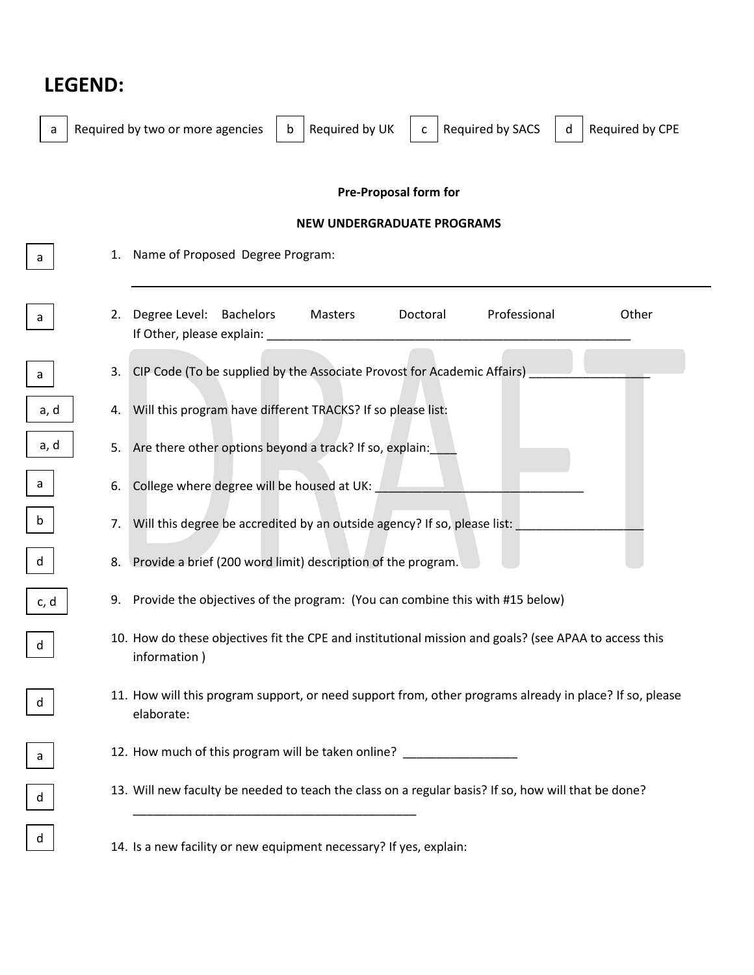# **LEGEND:**

 $\Gamma$ 

Г

Г

L

| a                            |    | Required by UK<br>Required by SACS<br>Required by two or more agencies<br>Required by CPE<br>b<br>d<br>c              |
|------------------------------|----|-----------------------------------------------------------------------------------------------------------------------|
| <b>Pre-Proposal form for</b> |    |                                                                                                                       |
|                              |    | <b>NEW UNDERGRADUATE PROGRAMS</b>                                                                                     |
| a                            | 1. | Name of Proposed Degree Program:                                                                                      |
| a                            | 2. | Professional<br>Degree Level: Bachelors<br>Doctoral<br>Other<br>Masters<br>If Other, please explain:                  |
| a                            | 3. | CIP Code (To be supplied by the Associate Provost for Academic Affairs)                                               |
| a, d                         |    | 4. Will this program have different TRACKS? If so please list:                                                        |
| a, d                         | 5. | Are there other options beyond a track? If so, explain:                                                               |
| a                            | 6. | College where degree will be housed at UK:                                                                            |
| $\mathsf b$                  | 7. | Will this degree be accredited by an outside agency? If so, please list:                                              |
| d                            |    | 8. Provide a brief (200 word limit) description of the program.                                                       |
| c, d                         |    | 9. Provide the objectives of the program: (You can combine this with #15 below)                                       |
| d                            |    | 10. How do these objectives fit the CPE and institutional mission and goals? (see APAA to access this<br>information) |
| d                            |    | 11. How will this program support, or need support from, other programs already in place? If so, please<br>elaborate: |
| a                            |    | 12. How much of this program will be taken online? _____________________________                                      |
| $\operatorname{\mathsf{d}}$  |    | 13. Will new faculty be needed to teach the class on a regular basis? If so, how will that be done?                   |
| d                            |    | 14. Is a new facility or new equipment necessary? If yes, explain:                                                    |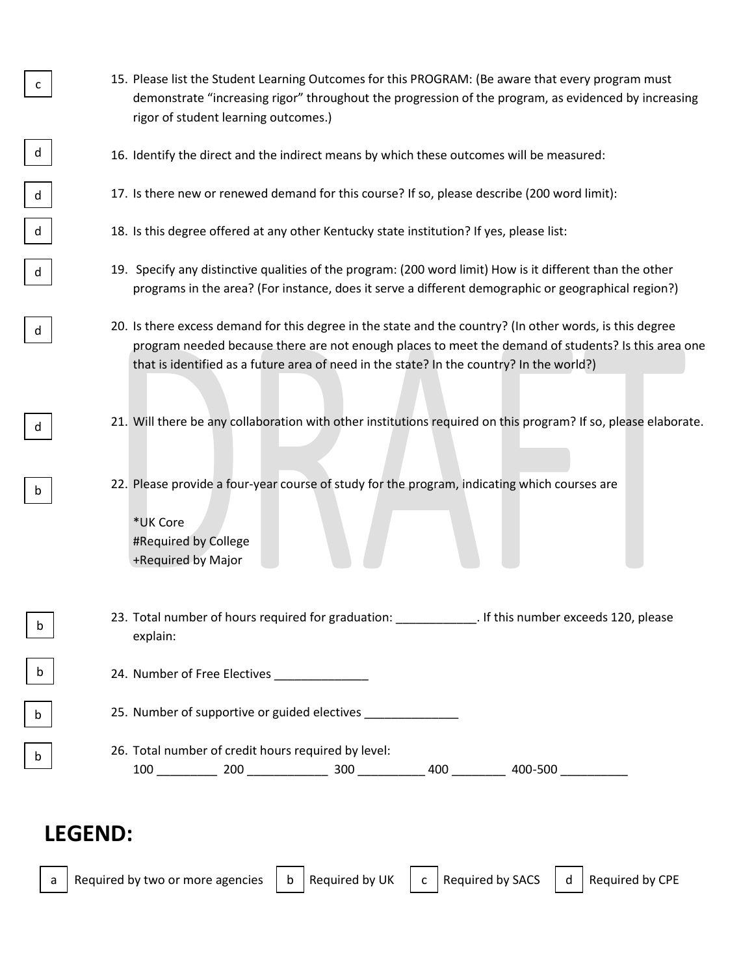- 15. Please list the Student Learning Outcomes for this PROGRAM: (Be aware that every program must demonstrate "increasing rigor" throughout the progression of the program, as evidenced by increasing rigor of student learning outcomes.)
- 16. Identify the direct and the indirect means by which these outcomes will be measured:
- 17. Is there new or renewed demand for this course? If so, please describe (200 word limit):
- 18. Is this degree offered at any other Kentucky state institution? If yes, please list:
- 19. Specify any distinctive qualities of the program: (200 word limit) How is it different than the other programs in the area? (For instance, does it serve a different demographic or geographical region?)
- 20. Is there excess demand for this degree in the state and the country? (In other words, is this degree program needed because there are not enough places to meet the demand of students? Is this area one that is identified as a future area of need in the state? In the country? In the world?)
- 21. Will there be any collaboration with other institutions required on this program? If so, please elaborate.
- 22. Please provide a four-year course of study for the program, indicating which courses are
	- \*UK Core #Required by College +Required by Major
- 23. Total number of hours required for graduation: \_\_\_\_\_\_\_\_\_\_\_\_\_\_. If this number exceeds 120, please explain:
	- 24. Number of Free Electives
	- 25. Number of supportive or guided electives \_\_\_\_\_\_\_\_\_\_\_\_\_\_\_\_\_\_\_\_\_\_\_\_\_\_\_\_\_\_\_\_\_\_\_
	- 26. Total number of credit hours required by level: 100 \_\_\_\_\_\_\_\_\_ 200 \_\_\_\_\_\_\_\_\_\_\_\_ 300 \_\_\_\_\_\_\_\_\_\_ 400 \_\_\_\_\_\_\_\_ 400-500 \_\_\_\_\_\_\_\_\_\_

# **LEGEND:**

b

d

d

d

d

d

c

d

b

b

b

b

a | Required by two or more agencies  $\, \mid\,$  b | Required by UK  $\,$  | c | Required by SACS  $\,$  | d | Required by CPE